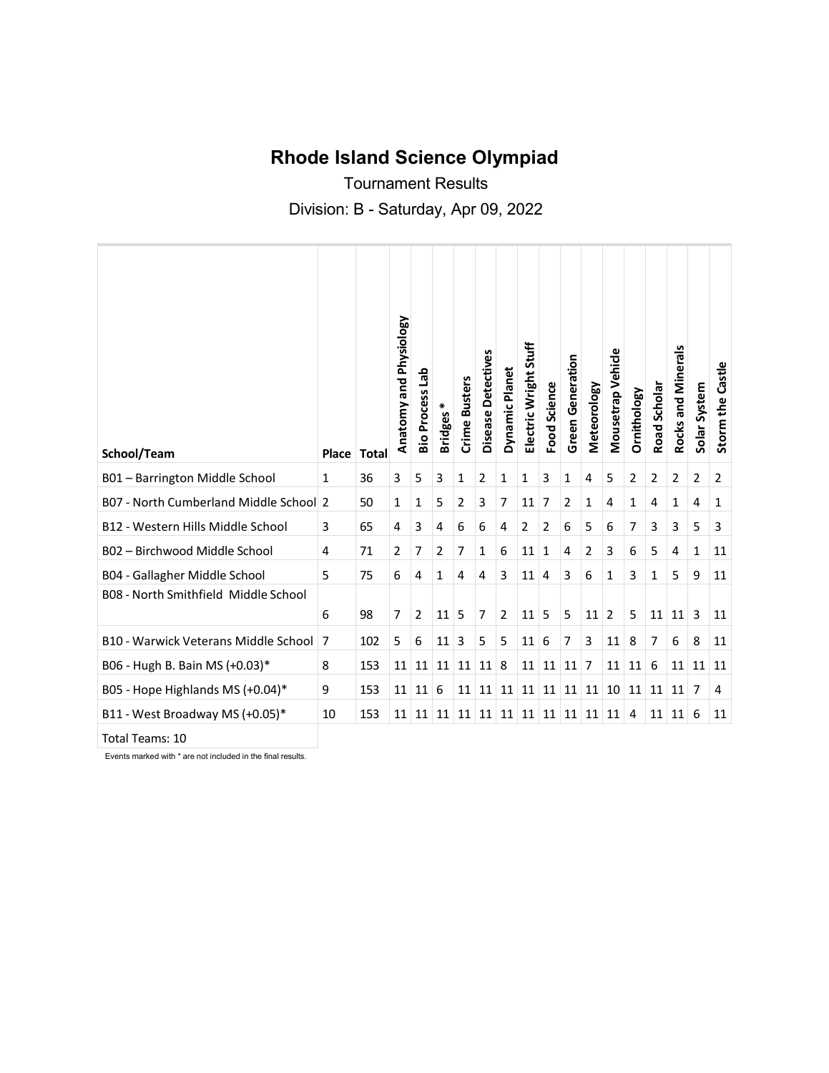## **Rhode Island Science Olympiad**

Tournament Results Division: B - Saturday, Apr 09, 2022

| School/Team                                 | Place        | <b>Total</b> | Anatomy and Physiology | 응<br><b>Bio Process</b> | ⋇<br><b>Bridges</b> | Crime Busters | <b>Detectives</b><br><b>Disease</b> | Dynamic Planet | Electric Wright Stuff | <b>Food Science</b> | <b>Green Generation</b> | Meteorology | Mousetrap Vehicle | Ornithology | Road Scholar | Rocks and Minerals | Solar System   | Storm the Castle |
|---------------------------------------------|--------------|--------------|------------------------|-------------------------|---------------------|---------------|-------------------------------------|----------------|-----------------------|---------------------|-------------------------|-------------|-------------------|-------------|--------------|--------------------|----------------|------------------|
| B01 - Barrington Middle School              | $\mathbf{1}$ | 36           | 3                      | 5                       | 3                   | 1             | $\overline{2}$                      | 1              | 1                     | 3                   | 1                       | 4           | 5                 | 2           | 2            | $\overline{2}$     | $\overline{2}$ | $\overline{2}$   |
| B07 - North Cumberland Middle School 2      |              | 50           | 1                      | 1                       | 5                   | 2             | 3                                   | 7              | 11                    | 7                   | 2                       | 1           | 4                 | 1           | 4            | 1                  | 4              | 1                |
| B12 - Western Hills Middle School           | 3            | 65           | 4                      | 3                       | 4                   | 6             | 6                                   | 4              | 2                     | 2                   | 6                       | 5           | 6                 | 7           | 3            | 3                  | 5              | 3                |
| B02 - Birchwood Middle School               | 4            | 71           | $\overline{2}$         | 7                       | $\overline{2}$      | 7             | 1                                   | 6              | 11                    | 1                   | 4                       | 2           | 3                 | 6           | 5            | 4                  | 1              | 11               |
| B04 - Gallagher Middle School               | 5            | 75           | 6                      | 4                       | 1                   | 4             | 4                                   | 3              | 11                    | 4                   | 3                       | 6           | 1                 | 3           | 1            | 5                  | 9              | 11               |
| B08 - North Smithfield Middle School        | 6            | 98           | 7                      | $\overline{2}$          | 11                  | 5             | $\overline{7}$                      | $\overline{2}$ | 11                    | 5                   | 5                       | 11          | $\overline{2}$    | 5           | 11           | 11                 | 3              | 11               |
| <b>B10 - Warwick Veterans Middle School</b> | 7            | 102          | 5                      | 6                       | 11                  | 3             | 5                                   | 5              | 11                    | 6                   | 7                       | 3           | 11                | 8           | 7            | 6                  | 8              | 11               |
| B06 - Hugh B. Bain MS (+0.03)*              | 8            | 153          | 11                     | 11                      | 11                  | 11            | 11                                  | 8              | 11                    | 11                  | 11                      | 7           | 11                | 11          | 6            | 11                 | 11             | 11               |
| B05 - Hope Highlands MS (+0.04)*            | 9            | 153          | 11                     | 11                      | 6                   | 11            | 11                                  | 11             | 11                    | 11                  | 11                      | 11          | 10                | 11          | 11           | 11                 | 7              | 4                |
| B11 - West Broadway MS (+0.05)*             | 10           | 153          | 11                     | 11                      | 11                  | 11            | 11                                  | 11             | 11                    | 11                  | 11                      | 11          | 11                | 4           | 11           | 11                 | 6              | 11               |

Total Teams: 10

Events marked with \* are not included in the final results.